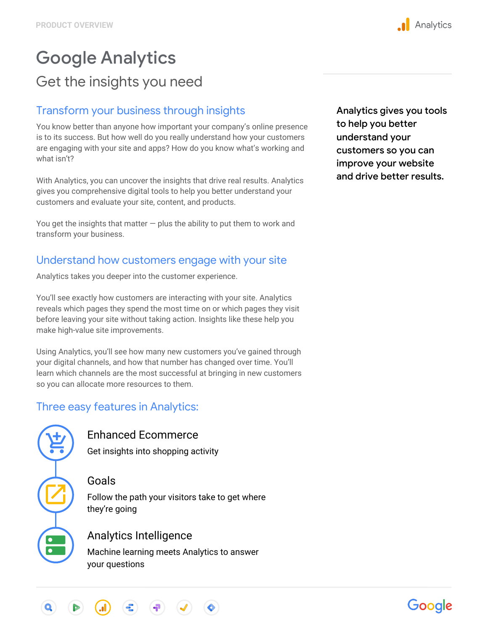# Google Analytics Get the insights you need

### Transform your business through insights

You know better than anyone how important your company's online presence is to its success. But how well do you really understand how your customers are engaging with your site and apps? How do you know what's working and what isn't?

With Analytics, you can uncover the insights that drive real results. Analytics gives you comprehensive digital tools to help you better understand your customers and evaluate your site, content, and products.

You get the insights that matter  $-$  plus the ability to put them to work and transform your business.

### Understand how customers engage with your site

Analytics takes you deeper into the customer experience.

You'll see exactly how customers are interacting with your site. Analytics reveals which pages they spend the most time on or which pages they visit before leaving your site without taking action. Insights like these help you make high-value site improvements.

Using Analytics, you'll see how many new customers you've gained through your digital channels, and how that number has changed over time. You'll learn which channels are the most successful at bringing in new customers so you can allocate more resources to them.

### Three easy features in Analytics:

#### Enhanced Ecommerce

Get insights into shopping activity

#### Goals

Follow the path your visitors take to get where they're going

### Analytics Intelligence

Machine learning meets Analytics to answer your questions

Analytics gives you tools to help you better understand your customers so you can improve your website and drive better results.



## Google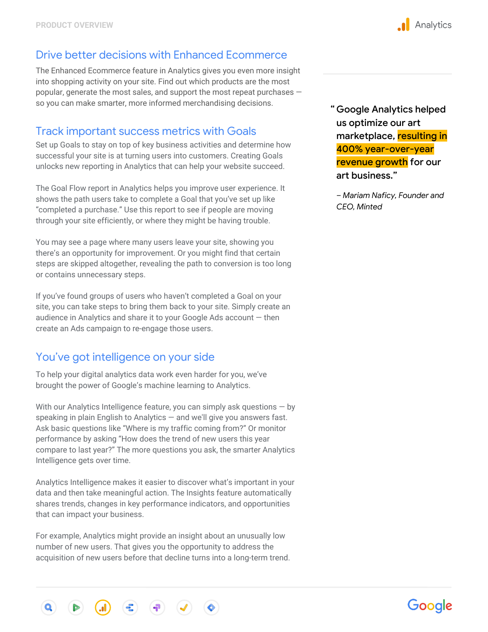### Drive better decisions with Enhanced Ecommerce

The Enhanced Ecommerce feature in Analytics gives you even more insight into shopping activity on your site. Find out which products are the most popular, generate the most sales, and support the most repeat purchases so you can make smarter, more informed merchandising decisions.

### Track important success metrics with Goals

Set up Goals to stay on top of key business activities and determine how successful your site is at turning users into customers. Creating Goals unlocks new reporting in Analytics that can help your website succeed.

The Goal Flow report in Analytics helps you improve user experience. It shows the path users take to complete a Goal that you've set up like "completed a purchase." Use this report to see if people are moving through your site efficiently, or where they might be having trouble.

You may see a page where many users leave your site, showing you there's an opportunity for improvement. Or you might find that certain steps are skipped altogether, revealing the path to conversion is too long or contains unnecessary steps.

If you've found groups of users who haven't completed a Goal on your site, you can take steps to bring them back to your site. Simply create an audience in Analytics and share it to your Google Ads account — then create an Ads campaign to re-engage those users.

### You've got intelligence on your side

To help your digital analytics data work even harder for you, we've brought the power of Google's machine learning to Analytics.

With our Analytics Intelligence feature, you can simply ask questions  $-$  by speaking in plain English to Analytics — and we'll give you answers fast. Ask basic questions like "Where is my traffic coming from?" Or monitor performance by asking "How does the trend of new users this year compare to last year?" The more questions you ask, the smarter Analytics Intelligence gets over time.

Analytics Intelligence makes it easier to discover what's important in your data and then take meaningful action. The Insights feature automatically shares trends, changes in key performance indicators, and opportunities that can impact your business.

For example, Analytics might provide an insight about an unusually low number of new users. That gives you the opportunity to address the acquisition of new users before that decline turns into a long-term trend. Google Analytics helped " us optimize our art marketplace, resulting in 400% year-over-year revenue growth for our art business."

*– Mariam Naficy, Founder and CEO, Minted*



# Google